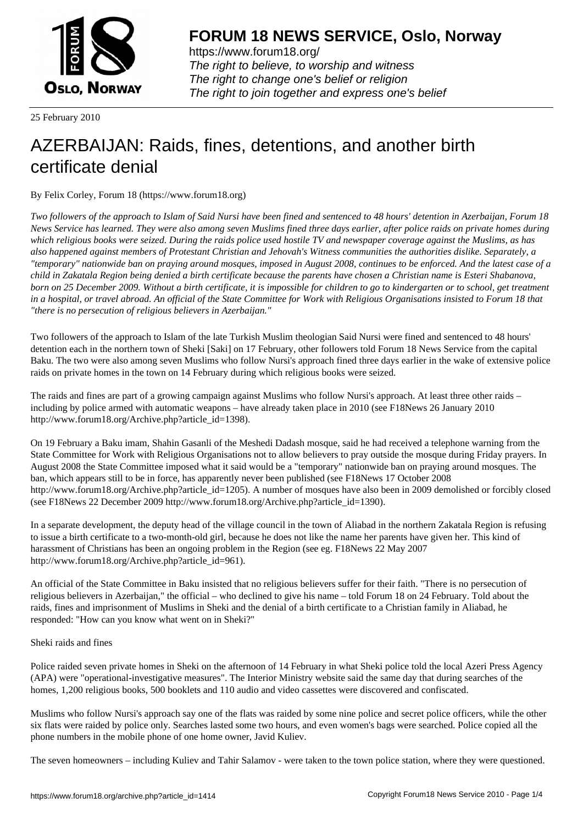

https://www.forum18.org/ The right to believe, to worship and witness The right to change one's belief or religion [The right to join together a](https://www.forum18.org/)nd express one's belief

25 February 2010

# [AZERBAIJAN: R](https://www.forum18.org)aids, fines, detentions, and another birth certificate denial

By Felix Corley, Forum 18 (https://www.forum18.org)

*Two followers of the approach to Islam of Said Nursi have been fined and sentenced to 48 hours' detention in Azerbaijan, Forum 18 News Service has learned. They were also among seven Muslims fined three days earlier, after police raids on private homes during which religious books were seized. During the raids police used hostile TV and newspaper coverage against the Muslims, as has also happened against members of Protestant Christian and Jehovah's Witness communities the authorities dislike. Separately, a "temporary" nationwide ban on praying around mosques, imposed in August 2008, continues to be enforced. And the latest case of a child in Zakatala Region being denied a birth certificate because the parents have chosen a Christian name is Esteri Shabanova, born on 25 December 2009. Without a birth certificate, it is impossible for children to go to kindergarten or to school, get treatment in a hospital, or travel abroad. An official of the State Committee for Work with Religious Organisations insisted to Forum 18 that "there is no persecution of religious believers in Azerbaijan."*

Two followers of the approach to Islam of the late Turkish Muslim theologian Said Nursi were fined and sentenced to 48 hours' detention each in the northern town of Sheki [Saki] on 17 February, other followers told Forum 18 News Service from the capital Baku. The two were also among seven Muslims who follow Nursi's approach fined three days earlier in the wake of extensive police raids on private homes in the town on 14 February during which religious books were seized.

The raids and fines are part of a growing campaign against Muslims who follow Nursi's approach. At least three other raids – including by police armed with automatic weapons – have already taken place in 2010 (see F18News 26 January 2010 http://www.forum18.org/Archive.php?article\_id=1398).

On 19 February a Baku imam, Shahin Gasanli of the Meshedi Dadash mosque, said he had received a telephone warning from the State Committee for Work with Religious Organisations not to allow believers to pray outside the mosque during Friday prayers. In August 2008 the State Committee imposed what it said would be a "temporary" nationwide ban on praying around mosques. The ban, which appears still to be in force, has apparently never been published (see F18News 17 October 2008 http://www.forum18.org/Archive.php?article\_id=1205). A number of mosques have also been in 2009 demolished or forcibly closed (see F18News 22 December 2009 http://www.forum18.org/Archive.php?article\_id=1390).

In a separate development, the deputy head of the village council in the town of Aliabad in the northern Zakatala Region is refusing to issue a birth certificate to a two-month-old girl, because he does not like the name her parents have given her. This kind of harassment of Christians has been an ongoing problem in the Region (see eg. F18News 22 May 2007 http://www.forum18.org/Archive.php?article\_id=961).

An official of the State Committee in Baku insisted that no religious believers suffer for their faith. "There is no persecution of religious believers in Azerbaijan," the official – who declined to give his name – told Forum 18 on 24 February. Told about the raids, fines and imprisonment of Muslims in Sheki and the denial of a birth certificate to a Christian family in Aliabad, he responded: "How can you know what went on in Sheki?"

Sheki raids and fines

Police raided seven private homes in Sheki on the afternoon of 14 February in what Sheki police told the local Azeri Press Agency (APA) were "operational-investigative measures". The Interior Ministry website said the same day that during searches of the homes, 1,200 religious books, 500 booklets and 110 audio and video cassettes were discovered and confiscated.

Muslims who follow Nursi's approach say one of the flats was raided by some nine police and secret police officers, while the other six flats were raided by police only. Searches lasted some two hours, and even women's bags were searched. Police copied all the phone numbers in the mobile phone of one home owner, Javid Kuliev.

The seven homeowners – including Kuliev and Tahir Salamov - were taken to the town police station, where they were questioned.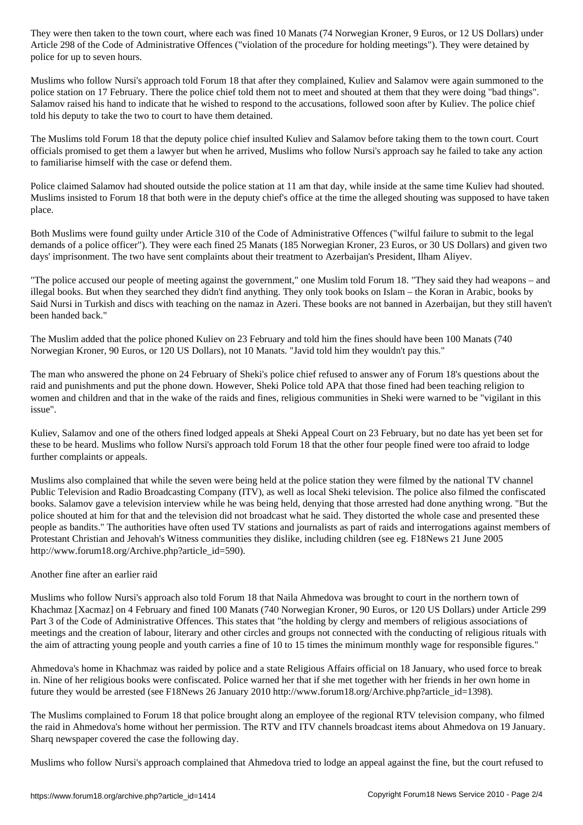Article 298 of Administrative Offences ("violation of the procedure for holding meetings"). They were detained by  $\mathcal{P}_\text{c}$ police for up to seven hours.

Muslims who follow Nursi's approach told Forum 18 that after they complained, Kuliev and Salamov were again summoned to the police station on 17 February. There the police chief told them not to meet and shouted at them that they were doing "bad things". Salamov raised his hand to indicate that he wished to respond to the accusations, followed soon after by Kuliev. The police chief told his deputy to take the two to court to have them detained.

The Muslims told Forum 18 that the deputy police chief insulted Kuliev and Salamov before taking them to the town court. Court officials promised to get them a lawyer but when he arrived, Muslims who follow Nursi's approach say he failed to take any action to familiarise himself with the case or defend them.

Police claimed Salamov had shouted outside the police station at 11 am that day, while inside at the same time Kuliev had shouted. Muslims insisted to Forum 18 that both were in the deputy chief's office at the time the alleged shouting was supposed to have taken place.

Both Muslims were found guilty under Article 310 of the Code of Administrative Offences ("wilful failure to submit to the legal demands of a police officer"). They were each fined 25 Manats (185 Norwegian Kroner, 23 Euros, or 30 US Dollars) and given two days' imprisonment. The two have sent complaints about their treatment to Azerbaijan's President, Ilham Aliyev.

"The police accused our people of meeting against the government," one Muslim told Forum 18. "They said they had weapons – and illegal books. But when they searched they didn't find anything. They only took books on Islam – the Koran in Arabic, books by Said Nursi in Turkish and discs with teaching on the namaz in Azeri. These books are not banned in Azerbaijan, but they still haven't been handed back."

The Muslim added that the police phoned Kuliev on 23 February and told him the fines should have been 100 Manats (740 Norwegian Kroner, 90 Euros, or 120 US Dollars), not 10 Manats. "Javid told him they wouldn't pay this."

The man who answered the phone on 24 February of Sheki's police chief refused to answer any of Forum 18's questions about the raid and punishments and put the phone down. However, Sheki Police told APA that those fined had been teaching religion to women and children and that in the wake of the raids and fines, religious communities in Sheki were warned to be "vigilant in this issue".

Kuliev, Salamov and one of the others fined lodged appeals at Sheki Appeal Court on 23 February, but no date has yet been set for these to be heard. Muslims who follow Nursi's approach told Forum 18 that the other four people fined were too afraid to lodge further complaints or appeals.

Muslims also complained that while the seven were being held at the police station they were filmed by the national TV channel Public Television and Radio Broadcasting Company (ITV), as well as local Sheki television. The police also filmed the confiscated books. Salamov gave a television interview while he was being held, denying that those arrested had done anything wrong. "But the police shouted at him for that and the television did not broadcast what he said. They distorted the whole case and presented these people as bandits." The authorities have often used TV stations and journalists as part of raids and interrogations against members of Protestant Christian and Jehovah's Witness communities they dislike, including children (see eg. F18News 21 June 2005 http://www.forum18.org/Archive.php?article\_id=590).

# Another fine after an earlier raid

Muslims who follow Nursi's approach also told Forum 18 that Naila Ahmedova was brought to court in the northern town of Khachmaz [Xacmaz] on 4 February and fined 100 Manats (740 Norwegian Kroner, 90 Euros, or 120 US Dollars) under Article 299 Part 3 of the Code of Administrative Offences. This states that "the holding by clergy and members of religious associations of meetings and the creation of labour, literary and other circles and groups not connected with the conducting of religious rituals with the aim of attracting young people and youth carries a fine of 10 to 15 times the minimum monthly wage for responsible figures."

Ahmedova's home in Khachmaz was raided by police and a state Religious Affairs official on 18 January, who used force to break in. Nine of her religious books were confiscated. Police warned her that if she met together with her friends in her own home in future they would be arrested (see F18News 26 January 2010 http://www.forum18.org/Archive.php?article\_id=1398).

The Muslims complained to Forum 18 that police brought along an employee of the regional RTV television company, who filmed the raid in Ahmedova's home without her permission. The RTV and ITV channels broadcast items about Ahmedova on 19 January. Sharq newspaper covered the case the following day.

Muslims who follow Nursi's approach complained that Ahmedova tried to lodge an appeal against the fine, but the court refused to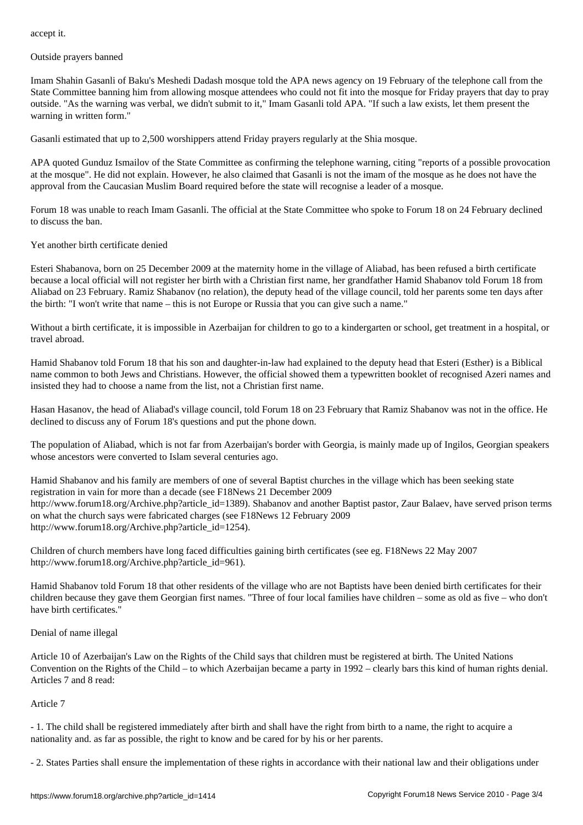Outside prayers banned

Imam Shahin Gasanli of Baku's Meshedi Dadash mosque told the APA news agency on 19 February of the telephone call from the State Committee banning him from allowing mosque attendees who could not fit into the mosque for Friday prayers that day to pray outside. "As the warning was verbal, we didn't submit to it," Imam Gasanli told APA. "If such a law exists, let them present the warning in written form."

Gasanli estimated that up to 2,500 worshippers attend Friday prayers regularly at the Shia mosque.

APA quoted Gunduz Ismailov of the State Committee as confirming the telephone warning, citing "reports of a possible provocation at the mosque". He did not explain. However, he also claimed that Gasanli is not the imam of the mosque as he does not have the approval from the Caucasian Muslim Board required before the state will recognise a leader of a mosque.

Forum 18 was unable to reach Imam Gasanli. The official at the State Committee who spoke to Forum 18 on 24 February declined to discuss the ban.

### Yet another birth certificate denied

Esteri Shabanova, born on 25 December 2009 at the maternity home in the village of Aliabad, has been refused a birth certificate because a local official will not register her birth with a Christian first name, her grandfather Hamid Shabanov told Forum 18 from Aliabad on 23 February. Ramiz Shabanov (no relation), the deputy head of the village council, told her parents some ten days after the birth: "I won't write that name – this is not Europe or Russia that you can give such a name."

Without a birth certificate, it is impossible in Azerbaijan for children to go to a kindergarten or school, get treatment in a hospital, or travel abroad.

Hamid Shabanov told Forum 18 that his son and daughter-in-law had explained to the deputy head that Esteri (Esther) is a Biblical name common to both Jews and Christians. However, the official showed them a typewritten booklet of recognised Azeri names and insisted they had to choose a name from the list, not a Christian first name.

Hasan Hasanov, the head of Aliabad's village council, told Forum 18 on 23 February that Ramiz Shabanov was not in the office. He declined to discuss any of Forum 18's questions and put the phone down.

The population of Aliabad, which is not far from Azerbaijan's border with Georgia, is mainly made up of Ingilos, Georgian speakers whose ancestors were converted to Islam several centuries ago.

Hamid Shabanov and his family are members of one of several Baptist churches in the village which has been seeking state registration in vain for more than a decade (see F18News 21 December 2009 http://www.forum18.org/Archive.php?article\_id=1389). Shabanov and another Baptist pastor, Zaur Balaev, have served prison terms on what the church says were fabricated charges (see F18News 12 February 2009 http://www.forum18.org/Archive.php?article\_id=1254).

Children of church members have long faced difficulties gaining birth certificates (see eg. F18News 22 May 2007 http://www.forum18.org/Archive.php?article\_id=961).

Hamid Shabanov told Forum 18 that other residents of the village who are not Baptists have been denied birth certificates for their children because they gave them Georgian first names. "Three of four local families have children – some as old as five – who don't have birth certificates."

#### Denial of name illegal

Article 10 of Azerbaijan's Law on the Rights of the Child says that children must be registered at birth. The United Nations Convention on the Rights of the Child – to which Azerbaijan became a party in 1992 – clearly bars this kind of human rights denial. Articles 7 and 8 read:

# Article 7

- 1. The child shall be registered immediately after birth and shall have the right from birth to a name, the right to acquire a nationality and. as far as possible, the right to know and be cared for by his or her parents.

- 2. States Parties shall ensure the implementation of these rights in accordance with their national law and their obligations under